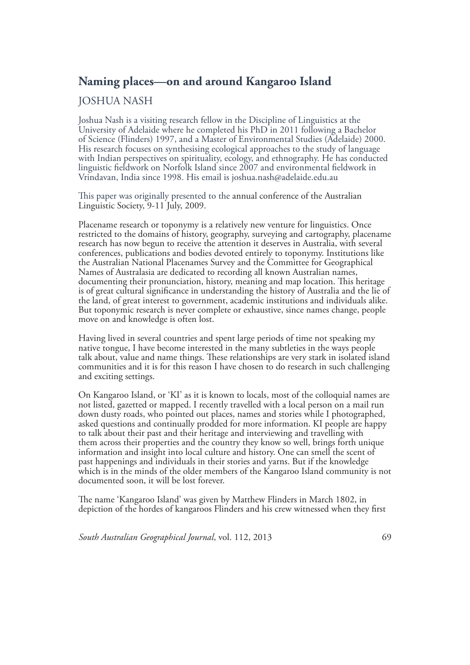## **Naming places—on and around Kangaroo Island**

## JOSHUA NASH

Joshua Nash is a visiting research fellow in the Discipline of Linguistics at the University of Adelaide where he completed his PhD in 2011 following a Bachelor of Science (Flinders) 1997, and a Master of Environmental Studies (Adelaide) 2000. His research focuses on synthesising ecological approaches to the study of language with Indian perspectives on spirituality, ecology, and ethnography. He has conducted linguistic fieldwork on Norfolk Island since 2007 and environmental fieldwork in Vrindavan, India since 1998. His email is joshua.nash@adelaide.edu.au

This paper was originally presented to the annual conference of the Australian Linguistic Society, 9-11 July, 2009.

Placename research or toponymy is a relatively new venture for linguistics. Once restricted to the domains of history, geography, surveying and cartography, placename research has now begun to receive the attention it deserves in Australia, with several conferences, publications and bodies devoted entirely to toponymy. Institutions like the Australian National Placenames Survey and the Committee for Geographical Names of Australasia are dedicated to recording all known Australian names, documenting their pronunciation, history, meaning and map location. This heritage is of great cultural significance in understanding the history of Australia and the lie of the land, of great interest to government, academic institutions and individuals alike. But toponymic research is never complete or exhaustive, since names change, people move on and knowledge is often lost.

Having lived in several countries and spent large periods of time not speaking my native tongue, I have become interested in the many subtleties in the ways people talk about, value and name things. These relationships are very stark in isolated island communities and it is for this reason I have chosen to do research in such challenging and exciting settings.

On Kangaroo Island, or 'KI' as it is known to locals, most of the colloquial names are not listed, gazetted or mapped. I recently travelled with a local person on a mail run down dusty roads, who pointed out places, names and stories while I photographed, asked questions and continually prodded for more information. KI people are happy to talk about their past and their heritage and interviewing and travelling with them across their properties and the country they know so well, brings forth unique information and insight into local culture and history. One can smell the scent of past happenings and individuals in their stories and yarns. But if the knowledge which is in the minds of the older members of the Kangaroo Island community is not documented soon, it will be lost forever.

The name 'Kangaroo Island' was given by Matthew Flinders in March 1802, in depiction of the hordes of kangaroos Flinders and his crew witnessed when they first

*South Australian Geographical Journal*, vol. 112, 2013 69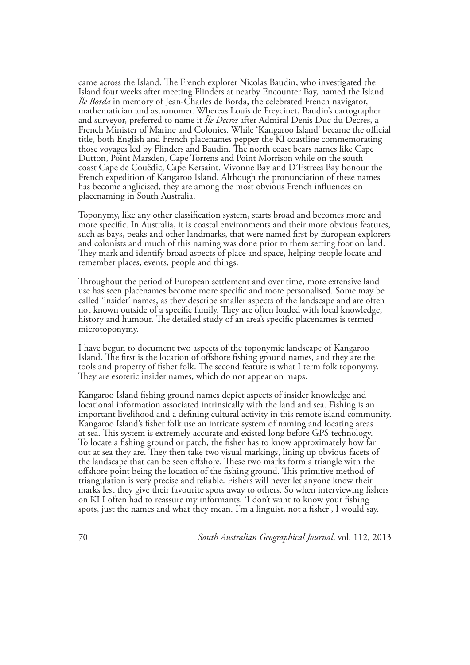came across the Island. The French explorer Nicolas Baudin, who investigated the Island four weeks after meeting Flinders at nearby Encounter Bay, named the Island *Île Borda* in memory of Jean-Charles de Borda, the celebrated French navigator, mathematician and astronomer. Whereas Louis de Freycinet, Baudin's cartographer and surveyor, preferred to name it *Île Decres* after Admiral Denis Duc du Decres, a French Minister of Marine and Colonies. While 'Kangaroo Island' became the official title, both English and French placenames pepper the KI coastline commemorating those voyages led by Flinders and Baudin. The north coast bears names like Cape Dutton, Point Marsden, Cape Torrens and Point Morrison while on the south coast Cape de Couëdic, Cape Kersaint, Vivonne Bay and D'Estrees Bay honour the French expedition of Kangaroo Island. Although the pronunciation of these names has become anglicised, they are among the most obvious French influences on placenaming in South Australia.

Toponymy, like any other classification system, starts broad and becomes more and more specific. In Australia, it is coastal environments and their more obvious features, such as bays, peaks and other landmarks, that were named first by European explorers and colonists and much of this naming was done prior to them setting foot on land. They mark and identify broad aspects of place and space, helping people locate and remember places, events, people and things.

Throughout the period of European settlement and over time, more extensive land use has seen placenames become more specific and more personalised. Some may be called 'insider' names, as they describe smaller aspects of the landscape and are often not known outside of a specific family. They are often loaded with local knowledge, history and humour. The detailed study of an area's specific placenames is termed microtoponymy.

I have begun to document two aspects of the toponymic landscape of Kangaroo Island. The first is the location of offshore fishing ground names, and they are the tools and property of fisher folk. The second feature is what I term folk toponymy. They are esoteric insider names, which do not appear on maps.

Kangaroo Island fishing ground names depict aspects of insider knowledge and locational information associated intrinsically with the land and sea. Fishing is an important livelihood and a defining cultural activity in this remote island community. Kangaroo Island's fisher folk use an intricate system of naming and locating areas at sea. This system is extremely accurate and existed long before GPS technology. To locate a fishing ground or patch, the fisher has to know approximately how far out at sea they are. They then take two visual markings, lining up obvious facets of the landscape that can be seen offshore. These two marks form a triangle with the offshore point being the location of the fishing ground. This primitive method of triangulation is very precise and reliable. Fishers will never let anyone know their marks lest they give their favourite spots away to others. So when interviewing fishers on KI I often had to reassure my informants. 'I don't want to know your fishing spots, just the names and what they mean. I'm a linguist, not a fisher', I would say.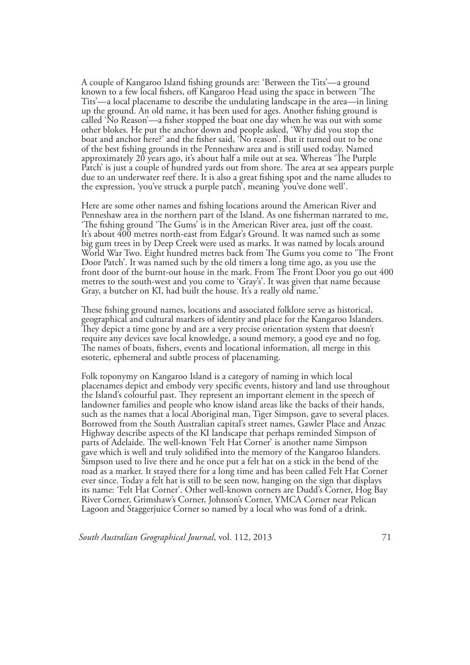A couple of Kangaroo Island fishing grounds are: 'Between the Tits'—a ground known to a few local fishers, off Kangaroo Head using the space in between 'The Tits'—a local placename to describe the undulating landscape in the area—in lining up the ground. An old name, it has been used for ages. Another fishing ground is called 'No Reason'—a fisher stopped the boat one day when he was out with some other blokes. He put the anchor down and people asked, 'Why did you stop the boat and anchor here?' and the fisher said, 'No reason'. But it turned out to be one of the best fishing grounds in the Penneshaw area and is still used today. Named approximately 20 years ago, it's about half a mile out at sea. Whereas 'The Purple Patch' is just a couple of hundred yards out from shore. The area at sea appears purple due to an underwater reef there. It is also a great fishing spot and the name alludes to the expression, 'you've struck a purple patch', meaning 'you've done well'.

Here are some other names and fishing locations around the American River and Penneshaw area in the northern part of the Island. As one fisherman narrated to me, 'The fishing ground 'The Gums' is in the American River area, just off the coast. It's about 400 metres north-east from Edgar's Ground. It was named such as some big gum trees in by Deep Creek were used as marks. It was named by locals around World War Two. Eight hundred metres back from The Gums you come to 'The Front Door Patch'. It was named such by the old timers a long time ago, as you use the front door of the burnt-out house in the mark. From The Front Door you go out 400 metres to the south-west and you come to 'Gray's'. It was given that name because Gray, a butcher on KI, had built the house. It's a really old name.'

These fishing ground names, locations and associated folklore serve as historical, geographical and cultural markers of identity and place for the Kangaroo Islanders. They depict a time gone by and are a very precise orientation system that doesn't require any devices save local knowledge, a sound memory, a good eye and no fog. The names of boats, fishers, events and locational information, all merge in this esoteric, ephemeral and subtle process of placenaming.

Folk toponymy on Kangaroo Island is a category of naming in which local placenames depict and embody very specific events, history and land use throughout the Island's colourful past. They represent an important element in the speech of landowner families and people who know island areas like the backs of their hands, such as the names that a local Aboriginal man, Tiger Simpson, gave to several places. Borrowed from the South Australian capital's street names, Gawler Place and Anzac Highway describe aspects of the KI landscape that perhaps reminded Simpson of parts of Adelaide. The well-known 'Felt Hat Corner' is another name Simpson gave which is well and truly solidified into the memory of the Kangaroo Islanders. Simpson used to live there and he once put a felt hat on a stick in the bend of the road as a marker. It stayed there for a long time and has been called Felt Hat Corner ever since. Today a felt hat is still to be seen now, hanging on the sign that displays its name: 'Felt Hat Corner'. Other well-known corners are Dudd's Corner, Hog Bay River Corner, Grimshaw's Corner, Johnson's Corner, YMCA Corner near Pelican Lagoon and Staggerjuice Corner so named by a local who was fond of a drink.

*South Australian Geographical Journal*, vol. 112, 2013 71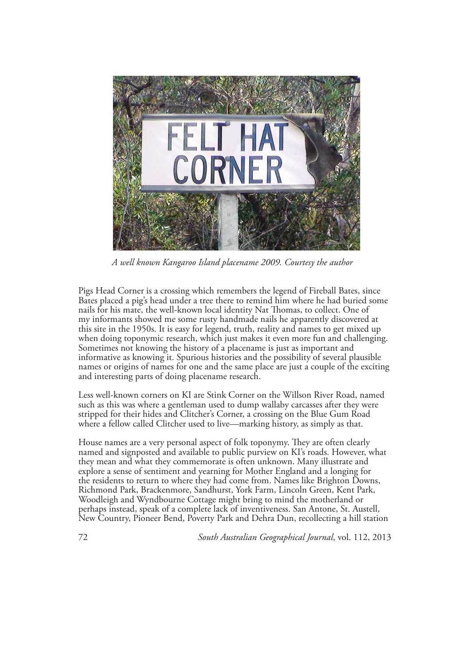

*A well known Kangaroo Island placename 2009. Courtesy the author*

Pigs Head Corner is a crossing which remembers the legend of Fireball Bates, since Bates placed a pig's head under a tree there to remind him where he had buried some nails for his mate, the well-known local identity Nat Thomas, to collect. One of my informants showed me some rusty handmade nails he apparently discovered at this site in the 1950s. It is easy for legend, truth, reality and names to get mixed up when doing toponymic research, which just makes it even more fun and challenging. Sometimes not knowing the history of a placename is just as important and informative as knowing it. Spurious histories and the possibility of several plausible names or origins of names for one and the same place are just a couple of the exciting and interesting parts of doing placename research.

Less well-known corners on KI are Stink Corner on the Willson River Road, named such as this was where a gentleman used to dump wallaby carcasses after they were stripped for their hides and Clitcher's Corner, a crossing on the Blue Gum Road where a fellow called Clitcher used to live—marking history, as simply as that.

House names are a very personal aspect of folk toponymy. They are often clearly named and signposted and available to public purview on KI's roads. However, what they mean and what they commemorate is often unknown. Many illustrate and explore a sense of sentiment and yearning for Mother England and a longing for the residents to return to where they had come from. Names like Brighton Downs, Richmond Park, Brackenmore, Sandhurst, York Farm, Lincoln Green, Kent Park, Woodleigh and Wyndbourne Cottage might bring to mind the motherland or perhaps instead, speak of a complete lack of inventiveness. San Antone, St. Austell, New Country, Pioneer Bend, Poverty Park and Dehra Dun, recollecting a hill station

72 *South Australian Geographical Journal*, vol. 112, 2013